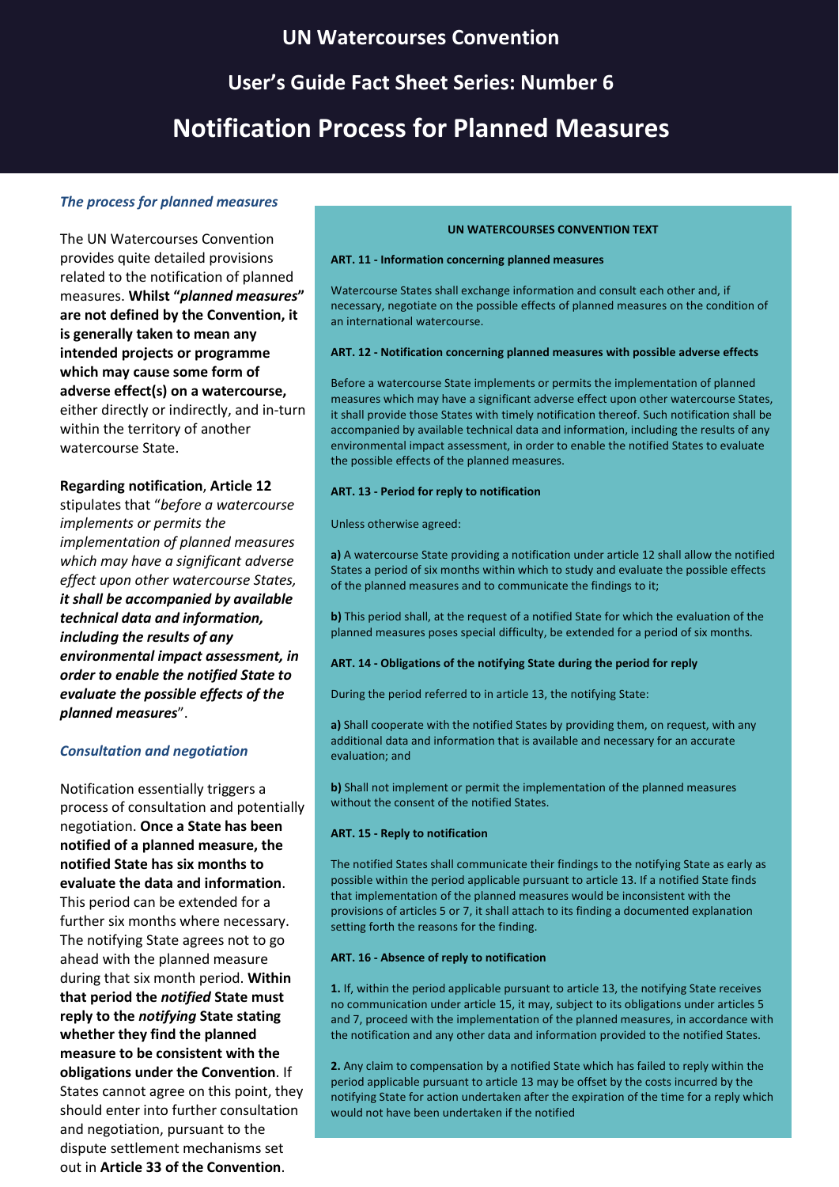## **UN Watercourses Convention**

# **User's Guide Fact Sheet Series: Number 6**

## **Notification Process for Planned Measures**

#### *The process for planned measures*

The UN Watercourses Convention provides quite detailed provisions related to the notification of planned measures. **Whilst "***planned measures***" are not defined by the Convention, it is generally taken to mean any intended projects or programme which may cause some form of adverse effect(s) on a watercourse,** either directly or indirectly, and in-turn within the territory of another watercourse State.

#### **Regarding notification**, **Article 12**

stipulates that "*before a watercourse implements or permits the implementation of planned measures which may have a significant adverse effect upon other watercourse States, it shall be accompanied by available technical data and information, including the results of any environmental impact assessment, in order to enable the notified State to evaluate the possible effects of the planned measures*".

#### *Consultation and negotiation*

Notification essentially triggers a process of consultation and potentially negotiation. **Once a State has been notified of a planned measure, the notified State has six months to evaluate the data and information**. This period can be extended for a further six months where necessary. The notifying State agrees not to go ahead with the planned measure during that six month period. **Within that period the** *notified* **State must reply to the** *notifying* **State stating whether they find the planned measure to be consistent with the obligations under the Convention**. If States cannot agree on this point, they should enter into further consultation and negotiation, pursuant to the dispute settlement mechanisms set out in **Article 33 of the Convention**.

#### **UN WATERCOURSES CONVENTION TEXT**

#### **ART. 11 - Information concerning planned measures**

Watercourse States shall exchange information and consult each other and, if necessary, negotiate on the possible effects of planned measures on the condition of an international watercourse.

#### **ART. 12 - Notification concerning planned measures with possible adverse effects**

Before a watercourse State implements or permits the implementation of planned measures which may have a significant adverse effect upon other watercourse States, it shall provide those States with timely notification thereof. Such notification shall be accompanied by available technical data and information, including the results of any environmental impact assessment, in order to enable the notified States to evaluate the possible effects of the planned measures.

#### **ART. 13 - Period for reply to notification**

Unless otherwise agreed:

**a)** A watercourse State providing a notification under article 12 shall allow the notified States a period of six months within which to study and evaluate the possible effects of the planned measures and to communicate the findings to it;

**b)** This period shall, at the request of a notified State for which the evaluation of the planned measures poses special difficulty, be extended for a period of six months.

#### **ART. 14 - Obligations of the notifying State during the period for reply**

During the period referred to in article 13, the notifying State:

**a)** Shall cooperate with the notified States by providing them, on request, with any additional data and information that is available and necessary for an accurate evaluation; and

**b)** Shall not implement or permit the implementation of the planned measures without the consent of the notified States.

#### **ART. 15 - Reply to notification**

The notified States shall communicate their findings to the notifying State as early as possible within the period applicable pursuant to article 13. If a notified State finds that implementation of the planned measures would be inconsistent with the provisions of articles 5 or 7, it shall attach to its finding a documented explanation setting forth the reasons for the finding.

#### **ART. 16 - Absence of reply to notification**

**1.** If, within the period applicable pursuant to article 13, the notifying State receives no communication under article 15, it may, subject to its obligations under articles 5 and 7, proceed with the implementation of the planned measures, in accordance with the notification and any other data and information provided to the notified States.

**2.** Any claim to compensation by a notified State which has failed to reply within the period applicable pursuant to article 13 may be offset by the costs incurred by the notifying State for action undertaken after the expiration of the time for a reply which would not have been undertaken if the notified